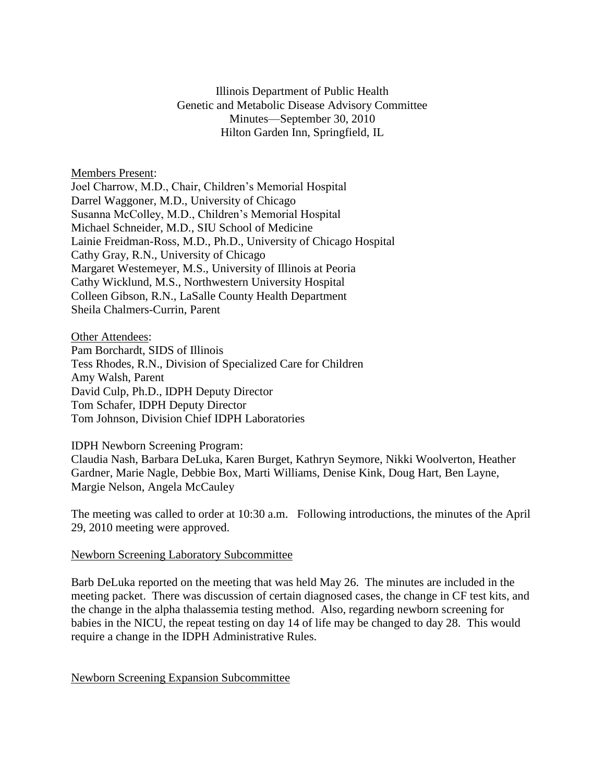Illinois Department of Public Health Genetic and Metabolic Disease Advisory Committee Minutes—September 30, 2010 Hilton Garden Inn, Springfield, IL

Members Present:

Joel Charrow, M.D., Chair, Children's Memorial Hospital Darrel Waggoner, M.D., University of Chicago Susanna McColley, M.D., Children's Memorial Hospital Michael Schneider, M.D., SIU School of Medicine Lainie Freidman-Ross, M.D., Ph.D., University of Chicago Hospital Cathy Gray, R.N., University of Chicago Margaret Westemeyer, M.S., University of Illinois at Peoria Cathy Wicklund, M.S., Northwestern University Hospital Colleen Gibson, R.N., LaSalle County Health Department Sheila Chalmers-Currin, Parent

**Other Attendees:** Pam Borchardt, SIDS of Illinois Tess Rhodes, R.N., Division of Specialized Care for Children Amy Walsh, Parent David Culp, Ph.D., IDPH Deputy Director Tom Schafer, IDPH Deputy Director Tom Johnson, Division Chief IDPH Laboratories

IDPH Newborn Screening Program:

Claudia Nash, Barbara DeLuka, Karen Burget, Kathryn Seymore, Nikki Woolverton, Heather Gardner, Marie Nagle, Debbie Box, Marti Williams, Denise Kink, Doug Hart, Ben Layne, Margie Nelson, Angela McCauley

The meeting was called to order at 10:30 a.m. Following introductions, the minutes of the April 29, 2010 meeting were approved.

### Newborn Screening Laboratory Subcommittee

Barb DeLuka reported on the meeting that was held May 26. The minutes are included in the meeting packet. There was discussion of certain diagnosed cases, the change in CF test kits, and the change in the alpha thalassemia testing method. Also, regarding newborn screening for babies in the NICU, the repeat testing on day 14 of life may be changed to day 28. This would require a change in the IDPH Administrative Rules.

### Newborn Screening Expansion Subcommittee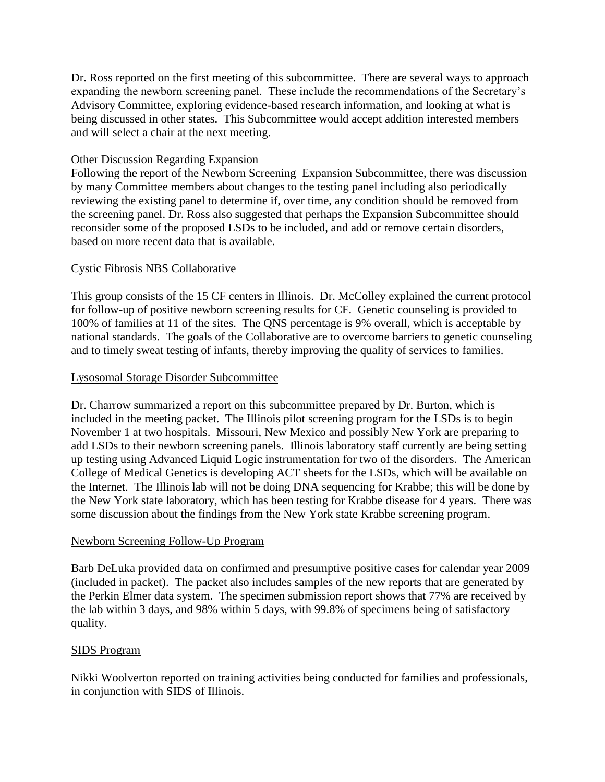Dr. Ross reported on the first meeting of this subcommittee. There are several ways to approach expanding the newborn screening panel. These include the recommendations of the Secretary's Advisory Committee, exploring evidence-based research information, and looking at what is being discussed in other states. This Subcommittee would accept addition interested members and will select a chair at the next meeting.

# Other Discussion Regarding Expansion

Following the report of the Newborn Screening Expansion Subcommittee, there was discussion by many Committee members about changes to the testing panel including also periodically reviewing the existing panel to determine if, over time, any condition should be removed from the screening panel. Dr. Ross also suggested that perhaps the Expansion Subcommittee should reconsider some of the proposed LSDs to be included, and add or remove certain disorders, based on more recent data that is available.

# Cystic Fibrosis NBS Collaborative

This group consists of the 15 CF centers in Illinois. Dr. McColley explained the current protocol for follow-up of positive newborn screening results for CF. Genetic counseling is provided to 100% of families at 11 of the sites. The QNS percentage is 9% overall, which is acceptable by national standards. The goals of the Collaborative are to overcome barriers to genetic counseling and to timely sweat testing of infants, thereby improving the quality of services to families.

# Lysosomal Storage Disorder Subcommittee

Dr. Charrow summarized a report on this subcommittee prepared by Dr. Burton, which is included in the meeting packet. The Illinois pilot screening program for the LSDs is to begin November 1 at two hospitals. Missouri, New Mexico and possibly New York are preparing to add LSDs to their newborn screening panels. Illinois laboratory staff currently are being setting up testing using Advanced Liquid Logic instrumentation for two of the disorders. The American College of Medical Genetics is developing ACT sheets for the LSDs, which will be available on the Internet. The Illinois lab will not be doing DNA sequencing for Krabbe; this will be done by the New York state laboratory, which has been testing for Krabbe disease for 4 years. There was some discussion about the findings from the New York state Krabbe screening program.

### Newborn Screening Follow-Up Program

Barb DeLuka provided data on confirmed and presumptive positive cases for calendar year 2009 (included in packet). The packet also includes samples of the new reports that are generated by the Perkin Elmer data system. The specimen submission report shows that 77% are received by the lab within 3 days, and 98% within 5 days, with 99.8% of specimens being of satisfactory quality.

### SIDS Program

Nikki Woolverton reported on training activities being conducted for families and professionals, in conjunction with SIDS of Illinois.